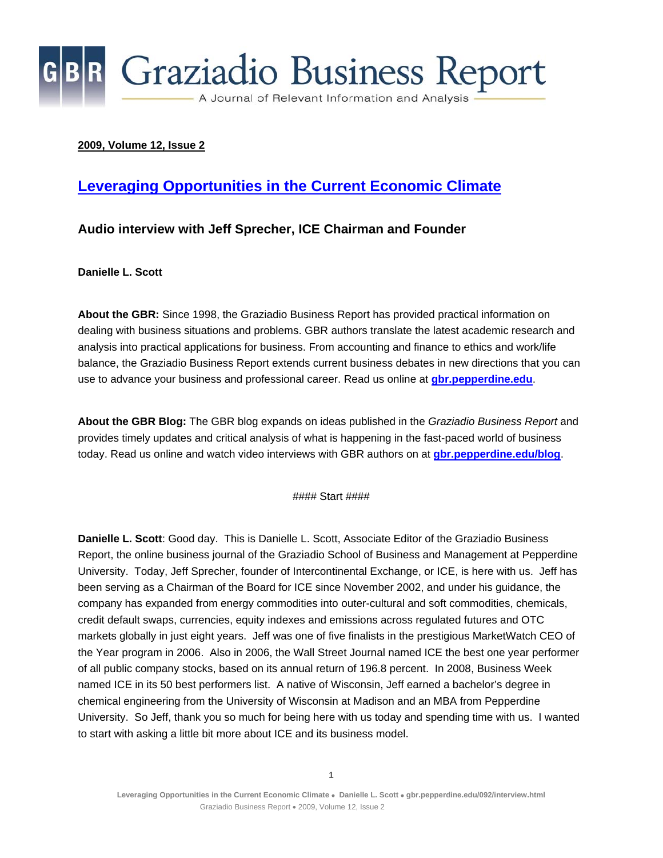

#### **2009, Volume 12, Issue 2**

#### **[Leveraging Opportunities in the Current Economic Climate](http://gbr.pepperdine.edu/092/interview.html)**

#### **Audio interview with Jeff Sprecher, ICE Chairman and Founder**

**Danielle L. Scott** 

**About the GBR:** Since 1998, the Graziadio Business Report has provided practical information on dealing with business situations and problems. GBR authors translate the latest academic research and analysis into practical applications for business. From accounting and finance to ethics and work/life balance, the Graziadio Business Report extends current business debates in new directions that you can use to advance your business and professional career. Read us online at **[gbr.pepperdine.edu](http://gbr.pepperdine.edu/)**.

**About the GBR Blog:** The GBR blog expands on ideas published in the *Graziadio Business Report* and provides timely updates and critical analysis of what is happening in the fast-paced world of business today. Read us online and watch video interviews with GBR authors on at **[gbr.pepperdine.edu/blog](http://gbr.pepperdine.edu/blog)**.

#### Start ####

**Danielle L. Scott**: Good day. This is Danielle L. Scott, Associate Editor of the Graziadio Business Report, the online business journal of the Graziadio School of Business and Management at Pepperdine University. Today, Jeff Sprecher, founder of Intercontinental Exchange, or ICE, is here with us. Jeff has been serving as a Chairman of the Board for ICE since November 2002, and under his guidance, the company has expanded from energy commodities into outer-cultural and soft commodities, chemicals, credit default swaps, currencies, equity indexes and emissions across regulated futures and OTC markets globally in just eight years. Jeff was one of five finalists in the prestigious MarketWatch CEO of the Year program in 2006. Also in 2006, the Wall Street Journal named ICE the best one year performer of all public company stocks, based on its annual return of 196.8 percent. In 2008, Business Week named ICE in its 50 best performers list. A native of Wisconsin, Jeff earned a bachelor's degree in chemical engineering from the University of Wisconsin at Madison and an MBA from Pepperdine University. So Jeff, thank you so much for being here with us today and spending time with us. I wanted to start with asking a little bit more about ICE and its business model.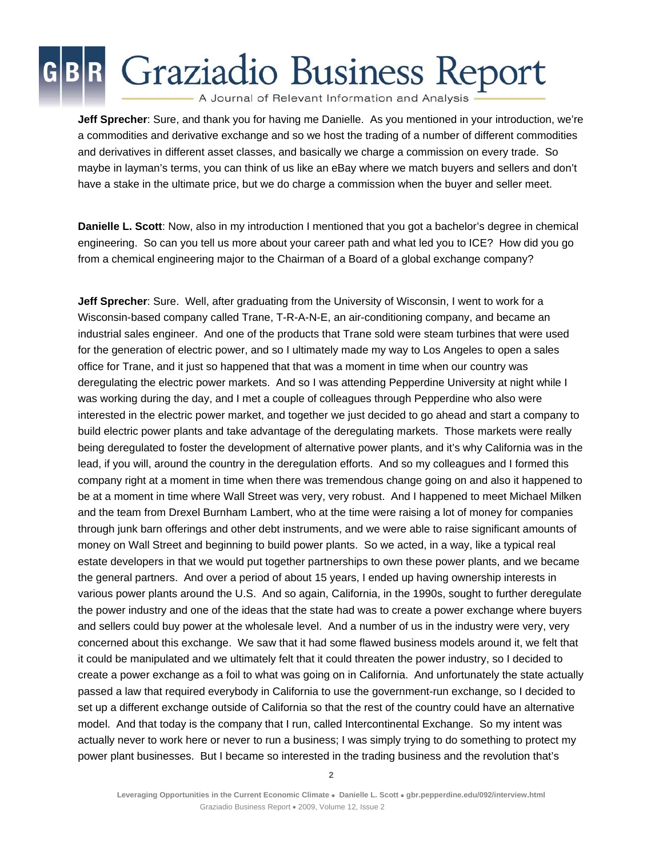A Journal of Relevant Information and Analysis

**Jeff Sprecher**: Sure, and thank you for having me Danielle. As you mentioned in your introduction, we're a commodities and derivative exchange and so we host the trading of a number of different commodities and derivatives in different asset classes, and basically we charge a commission on every trade. So maybe in layman's terms, you can think of us like an eBay where we match buyers and sellers and don't have a stake in the ultimate price, but we do charge a commission when the buyer and seller meet.

**Danielle L. Scott**: Now, also in my introduction I mentioned that you got a bachelor's degree in chemical engineering. So can you tell us more about your career path and what led you to ICE? How did you go from a chemical engineering major to the Chairman of a Board of a global exchange company?

**Jeff Sprecher**: Sure. Well, after graduating from the University of Wisconsin, I went to work for a Wisconsin-based company called Trane, T-R-A-N-E, an air-conditioning company, and became an industrial sales engineer. And one of the products that Trane sold were steam turbines that were used for the generation of electric power, and so I ultimately made my way to Los Angeles to open a sales office for Trane, and it just so happened that that was a moment in time when our country was deregulating the electric power markets. And so I was attending Pepperdine University at night while I was working during the day, and I met a couple of colleagues through Pepperdine who also were interested in the electric power market, and together we just decided to go ahead and start a company to build electric power plants and take advantage of the deregulating markets. Those markets were really being deregulated to foster the development of alternative power plants, and it's why California was in the lead, if you will, around the country in the deregulation efforts. And so my colleagues and I formed this company right at a moment in time when there was tremendous change going on and also it happened to be at a moment in time where Wall Street was very, very robust. And I happened to meet Michael Milken and the team from Drexel Burnham Lambert, who at the time were raising a lot of money for companies through junk barn offerings and other debt instruments, and we were able to raise significant amounts of money on Wall Street and beginning to build power plants. So we acted, in a way, like a typical real estate developers in that we would put together partnerships to own these power plants, and we became the general partners. And over a period of about 15 years, I ended up having ownership interests in various power plants around the U.S. And so again, California, in the 1990s, sought to further deregulate the power industry and one of the ideas that the state had was to create a power exchange where buyers and sellers could buy power at the wholesale level. And a number of us in the industry were very, very concerned about this exchange. We saw that it had some flawed business models around it, we felt that it could be manipulated and we ultimately felt that it could threaten the power industry, so I decided to create a power exchange as a foil to what was going on in California. And unfortunately the state actually passed a law that required everybody in California to use the government-run exchange, so I decided to set up a different exchange outside of California so that the rest of the country could have an alternative model. And that today is the company that I run, called Intercontinental Exchange. So my intent was actually never to work here or never to run a business; I was simply trying to do something to protect my power plant businesses. But I became so interested in the trading business and the revolution that's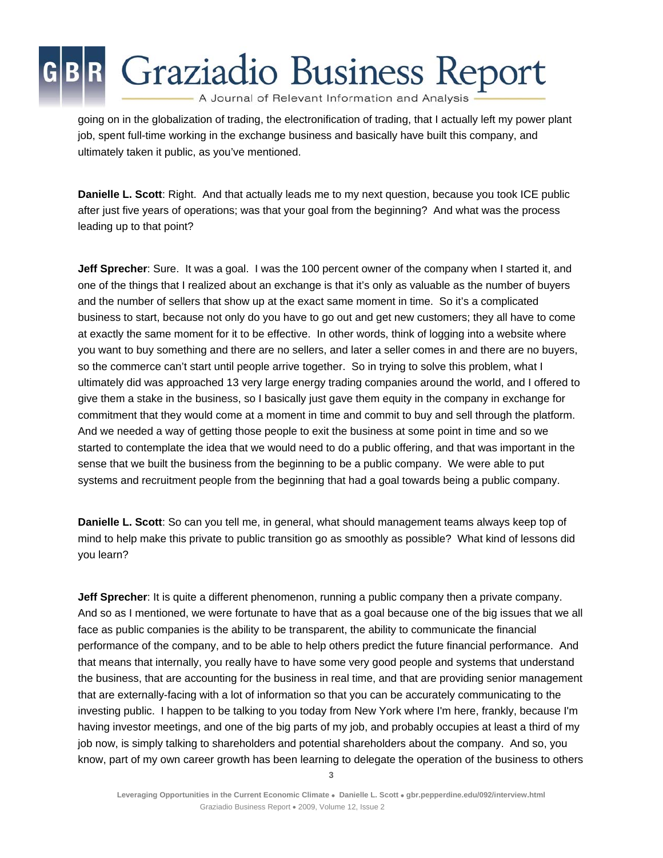A Journal of Relevant Information and Analysis

going on in the globalization of trading, the electronification of trading, that I actually left my power plant job, spent full-time working in the exchange business and basically have built this company, and ultimately taken it public, as you've mentioned.

**Danielle L. Scott**: Right. And that actually leads me to my next question, because you took ICE public after just five years of operations; was that your goal from the beginning? And what was the process leading up to that point?

**Jeff Sprecher**: Sure. It was a goal. I was the 100 percent owner of the company when I started it, and one of the things that I realized about an exchange is that it's only as valuable as the number of buyers and the number of sellers that show up at the exact same moment in time. So it's a complicated business to start, because not only do you have to go out and get new customers; they all have to come at exactly the same moment for it to be effective. In other words, think of logging into a website where you want to buy something and there are no sellers, and later a seller comes in and there are no buyers, so the commerce can't start until people arrive together. So in trying to solve this problem, what I ultimately did was approached 13 very large energy trading companies around the world, and I offered to give them a stake in the business, so I basically just gave them equity in the company in exchange for commitment that they would come at a moment in time and commit to buy and sell through the platform. And we needed a way of getting those people to exit the business at some point in time and so we started to contemplate the idea that we would need to do a public offering, and that was important in the sense that we built the business from the beginning to be a public company. We were able to put systems and recruitment people from the beginning that had a goal towards being a public company.

**Danielle L. Scott**: So can you tell me, in general, what should management teams always keep top of mind to help make this private to public transition go as smoothly as possible? What kind of lessons did you learn?

**Jeff Sprecher**: It is quite a different phenomenon, running a public company then a private company. And so as I mentioned, we were fortunate to have that as a goal because one of the big issues that we all face as public companies is the ability to be transparent, the ability to communicate the financial performance of the company, and to be able to help others predict the future financial performance. And that means that internally, you really have to have some very good people and systems that understand the business, that are accounting for the business in real time, and that are providing senior management that are externally-facing with a lot of information so that you can be accurately communicating to the investing public. I happen to be talking to you today from New York where I'm here, frankly, because I'm having investor meetings, and one of the big parts of my job, and probably occupies at least a third of my job now, is simply talking to shareholders and potential shareholders about the company. And so, you know, part of my own career growth has been learning to delegate the operation of the business to others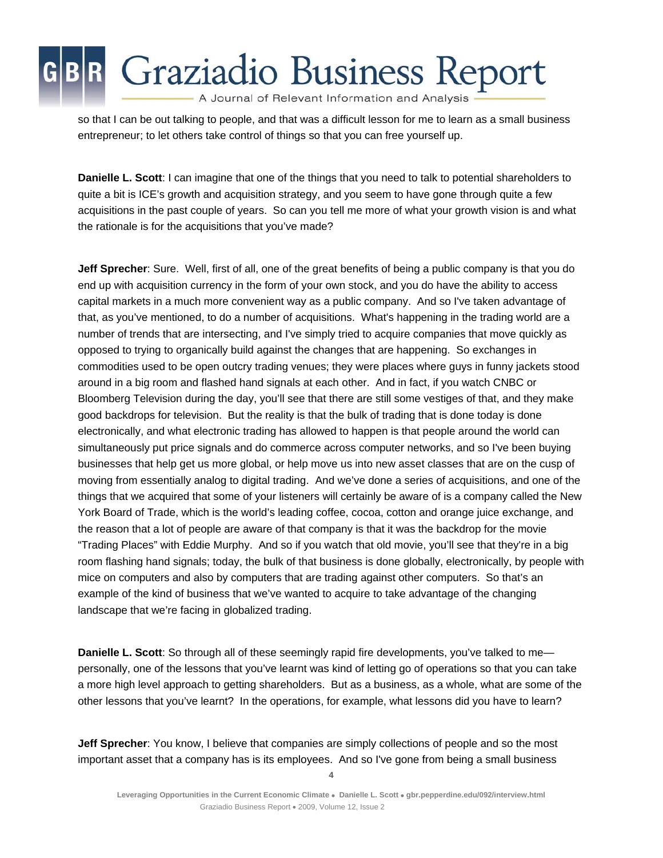A Journal of Relevant Information and Analysis

so that I can be out talking to people, and that was a difficult lesson for me to learn as a small business entrepreneur; to let others take control of things so that you can free yourself up.

**Danielle L. Scott**: I can imagine that one of the things that you need to talk to potential shareholders to quite a bit is ICE's growth and acquisition strategy, and you seem to have gone through quite a few acquisitions in the past couple of years. So can you tell me more of what your growth vision is and what the rationale is for the acquisitions that you've made?

**Jeff Sprecher**: Sure. Well, first of all, one of the great benefits of being a public company is that you do end up with acquisition currency in the form of your own stock, and you do have the ability to access capital markets in a much more convenient way as a public company. And so I've taken advantage of that, as you've mentioned, to do a number of acquisitions. What's happening in the trading world are a number of trends that are intersecting, and I've simply tried to acquire companies that move quickly as opposed to trying to organically build against the changes that are happening. So exchanges in commodities used to be open outcry trading venues; they were places where guys in funny jackets stood around in a big room and flashed hand signals at each other. And in fact, if you watch CNBC or Bloomberg Television during the day, you'll see that there are still some vestiges of that, and they make good backdrops for television. But the reality is that the bulk of trading that is done today is done electronically, and what electronic trading has allowed to happen is that people around the world can simultaneously put price signals and do commerce across computer networks, and so I've been buying businesses that help get us more global, or help move us into new asset classes that are on the cusp of moving from essentially analog to digital trading. And we've done a series of acquisitions, and one of the things that we acquired that some of your listeners will certainly be aware of is a company called the New York Board of Trade, which is the world's leading coffee, cocoa, cotton and orange juice exchange, and the reason that a lot of people are aware of that company is that it was the backdrop for the movie "Trading Places" with Eddie Murphy. And so if you watch that old movie, you'll see that they're in a big room flashing hand signals; today, the bulk of that business is done globally, electronically, by people with mice on computers and also by computers that are trading against other computers. So that's an example of the kind of business that we've wanted to acquire to take advantage of the changing landscape that we're facing in globalized trading.

**Danielle L. Scott**: So through all of these seemingly rapid fire developments, you've talked to me personally, one of the lessons that you've learnt was kind of letting go of operations so that you can take a more high level approach to getting shareholders. But as a business, as a whole, what are some of the other lessons that you've learnt? In the operations, for example, what lessons did you have to learn?

**Jeff Sprecher**: You know, I believe that companies are simply collections of people and so the most important asset that a company has is its employees. And so I've gone from being a small business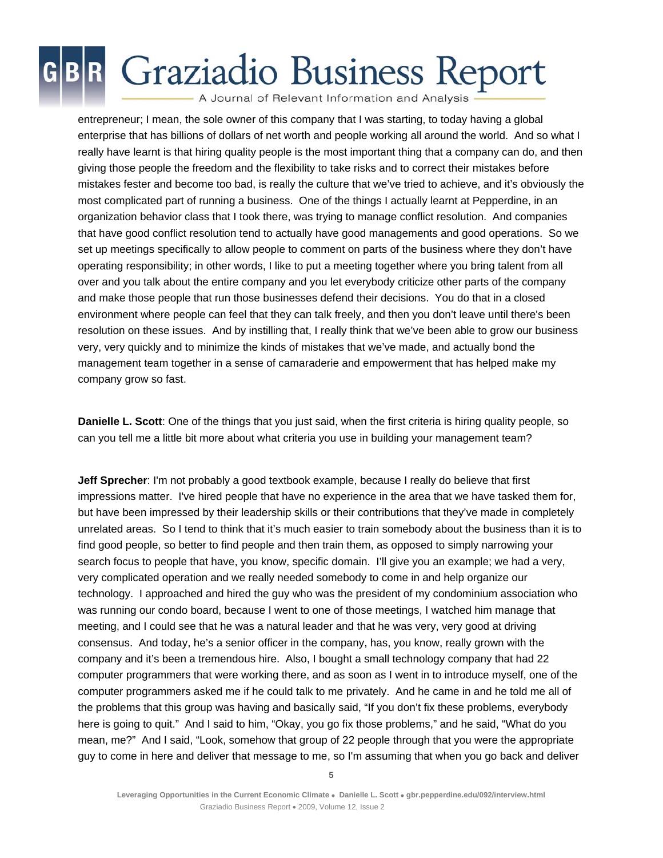A Journal of Relevant Information and Analysis

entrepreneur; I mean, the sole owner of this company that I was starting, to today having a global enterprise that has billions of dollars of net worth and people working all around the world. And so what I really have learnt is that hiring quality people is the most important thing that a company can do, and then giving those people the freedom and the flexibility to take risks and to correct their mistakes before mistakes fester and become too bad, is really the culture that we've tried to achieve, and it's obviously the most complicated part of running a business. One of the things I actually learnt at Pepperdine, in an organization behavior class that I took there, was trying to manage conflict resolution. And companies that have good conflict resolution tend to actually have good managements and good operations. So we set up meetings specifically to allow people to comment on parts of the business where they don't have operating responsibility; in other words, I like to put a meeting together where you bring talent from all over and you talk about the entire company and you let everybody criticize other parts of the company and make those people that run those businesses defend their decisions. You do that in a closed environment where people can feel that they can talk freely, and then you don't leave until there's been resolution on these issues. And by instilling that, I really think that we've been able to grow our business very, very quickly and to minimize the kinds of mistakes that we've made, and actually bond the management team together in a sense of camaraderie and empowerment that has helped make my company grow so fast.

**Danielle L. Scott**: One of the things that you just said, when the first criteria is hiring quality people, so can you tell me a little bit more about what criteria you use in building your management team?

**Jeff Sprecher**: I'm not probably a good textbook example, because I really do believe that first impressions matter. I've hired people that have no experience in the area that we have tasked them for, but have been impressed by their leadership skills or their contributions that they've made in completely unrelated areas. So I tend to think that it's much easier to train somebody about the business than it is to find good people, so better to find people and then train them, as opposed to simply narrowing your search focus to people that have, you know, specific domain. I'll give you an example; we had a very, very complicated operation and we really needed somebody to come in and help organize our technology. I approached and hired the guy who was the president of my condominium association who was running our condo board, because I went to one of those meetings, I watched him manage that meeting, and I could see that he was a natural leader and that he was very, very good at driving consensus. And today, he's a senior officer in the company, has, you know, really grown with the company and it's been a tremendous hire. Also, I bought a small technology company that had 22 computer programmers that were working there, and as soon as I went in to introduce myself, one of the computer programmers asked me if he could talk to me privately. And he came in and he told me all of the problems that this group was having and basically said, "If you don't fix these problems, everybody here is going to quit." And I said to him, "Okay, you go fix those problems," and he said, "What do you mean, me?" And I said, "Look, somehow that group of 22 people through that you were the appropriate guy to come in here and deliver that message to me, so I'm assuming that when you go back and deliver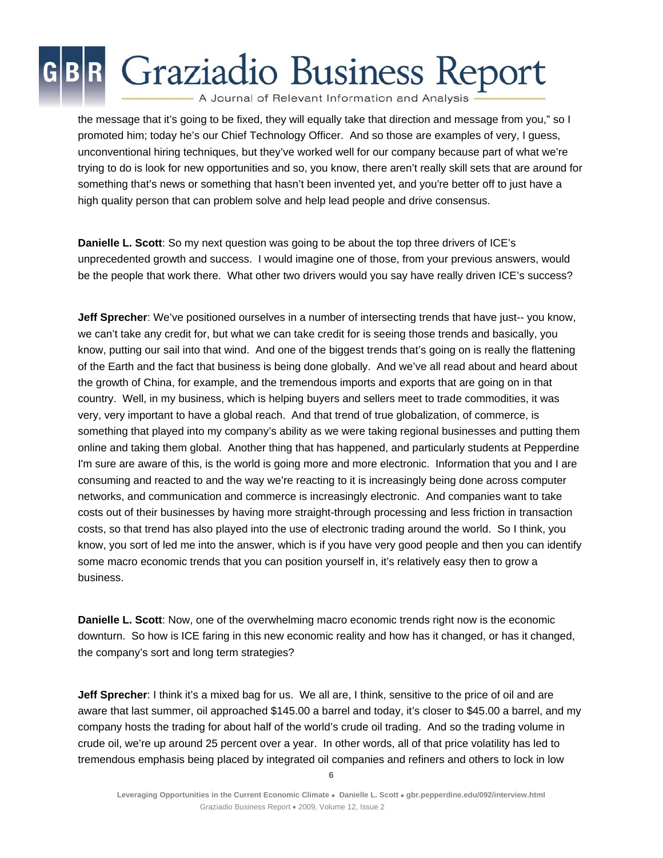A Journal of Relevant Information and Analysis

the message that it's going to be fixed, they will equally take that direction and message from you," so I promoted him; today he's our Chief Technology Officer. And so those are examples of very, I guess, unconventional hiring techniques, but they've worked well for our company because part of what we're trying to do is look for new opportunities and so, you know, there aren't really skill sets that are around for something that's news or something that hasn't been invented yet, and you're better off to just have a high quality person that can problem solve and help lead people and drive consensus.

**Danielle L. Scott**: So my next question was going to be about the top three drivers of ICE's unprecedented growth and success. I would imagine one of those, from your previous answers, would be the people that work there. What other two drivers would you say have really driven ICE's success?

**Jeff Sprecher**: We've positioned ourselves in a number of intersecting trends that have just-- you know, we can't take any credit for, but what we can take credit for is seeing those trends and basically, you know, putting our sail into that wind. And one of the biggest trends that's going on is really the flattening of the Earth and the fact that business is being done globally. And we've all read about and heard about the growth of China, for example, and the tremendous imports and exports that are going on in that country. Well, in my business, which is helping buyers and sellers meet to trade commodities, it was very, very important to have a global reach. And that trend of true globalization, of commerce, is something that played into my company's ability as we were taking regional businesses and putting them online and taking them global. Another thing that has happened, and particularly students at Pepperdine I'm sure are aware of this, is the world is going more and more electronic. Information that you and I are consuming and reacted to and the way we're reacting to it is increasingly being done across computer networks, and communication and commerce is increasingly electronic. And companies want to take costs out of their businesses by having more straight-through processing and less friction in transaction costs, so that trend has also played into the use of electronic trading around the world. So I think, you know, you sort of led me into the answer, which is if you have very good people and then you can identify some macro economic trends that you can position yourself in, it's relatively easy then to grow a business.

**Danielle L. Scott**: Now, one of the overwhelming macro economic trends right now is the economic downturn. So how is ICE faring in this new economic reality and how has it changed, or has it changed, the company's sort and long term strategies?

**Jeff Sprecher**: I think it's a mixed bag for us. We all are, I think, sensitive to the price of oil and are aware that last summer, oil approached \$145.00 a barrel and today, it's closer to \$45.00 a barrel, and my company hosts the trading for about half of the world's crude oil trading. And so the trading volume in crude oil, we're up around 25 percent over a year. In other words, all of that price volatility has led to tremendous emphasis being placed by integrated oil companies and refiners and others to lock in low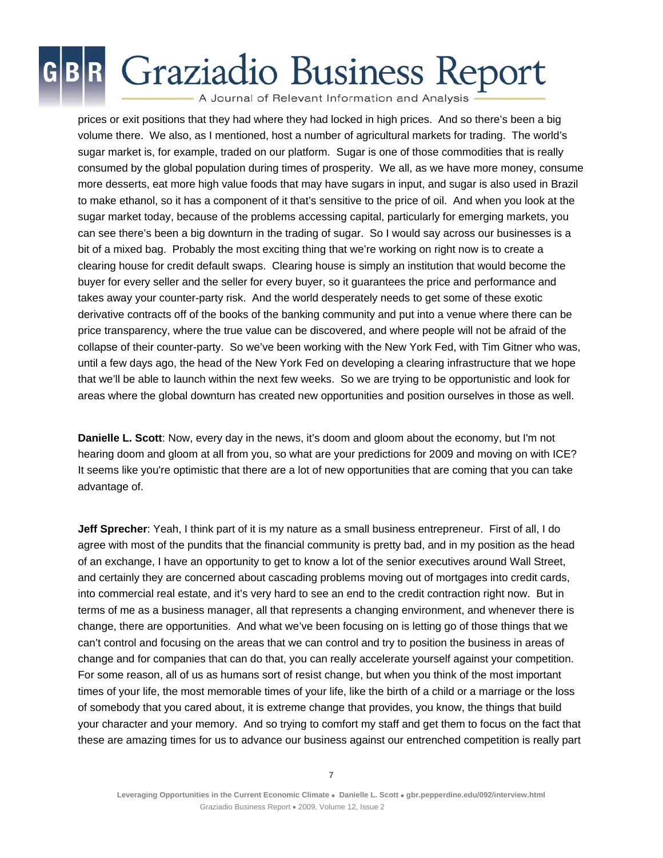A Journal of Relevant Information and Analysis

prices or exit positions that they had where they had locked in high prices. And so there's been a big volume there. We also, as I mentioned, host a number of agricultural markets for trading. The world's sugar market is, for example, traded on our platform. Sugar is one of those commodities that is really consumed by the global population during times of prosperity. We all, as we have more money, consume more desserts, eat more high value foods that may have sugars in input, and sugar is also used in Brazil to make ethanol, so it has a component of it that's sensitive to the price of oil. And when you look at the sugar market today, because of the problems accessing capital, particularly for emerging markets, you can see there's been a big downturn in the trading of sugar. So I would say across our businesses is a bit of a mixed bag. Probably the most exciting thing that we're working on right now is to create a clearing house for credit default swaps. Clearing house is simply an institution that would become the buyer for every seller and the seller for every buyer, so it guarantees the price and performance and takes away your counter-party risk. And the world desperately needs to get some of these exotic derivative contracts off of the books of the banking community and put into a venue where there can be price transparency, where the true value can be discovered, and where people will not be afraid of the collapse of their counter-party. So we've been working with the New York Fed, with Tim Gitner who was, until a few days ago, the head of the New York Fed on developing a clearing infrastructure that we hope that we'll be able to launch within the next few weeks. So we are trying to be opportunistic and look for areas where the global downturn has created new opportunities and position ourselves in those as well.

**Danielle L. Scott**: Now, every day in the news, it's doom and gloom about the economy, but I'm not hearing doom and gloom at all from you, so what are your predictions for 2009 and moving on with ICE? It seems like you're optimistic that there are a lot of new opportunities that are coming that you can take advantage of.

**Jeff Sprecher**: Yeah, I think part of it is my nature as a small business entrepreneur. First of all, I do agree with most of the pundits that the financial community is pretty bad, and in my position as the head of an exchange, I have an opportunity to get to know a lot of the senior executives around Wall Street, and certainly they are concerned about cascading problems moving out of mortgages into credit cards, into commercial real estate, and it's very hard to see an end to the credit contraction right now. But in terms of me as a business manager, all that represents a changing environment, and whenever there is change, there are opportunities. And what we've been focusing on is letting go of those things that we can't control and focusing on the areas that we can control and try to position the business in areas of change and for companies that can do that, you can really accelerate yourself against your competition. For some reason, all of us as humans sort of resist change, but when you think of the most important times of your life, the most memorable times of your life, like the birth of a child or a marriage or the loss of somebody that you cared about, it is extreme change that provides, you know, the things that build your character and your memory. And so trying to comfort my staff and get them to focus on the fact that these are amazing times for us to advance our business against our entrenched competition is really part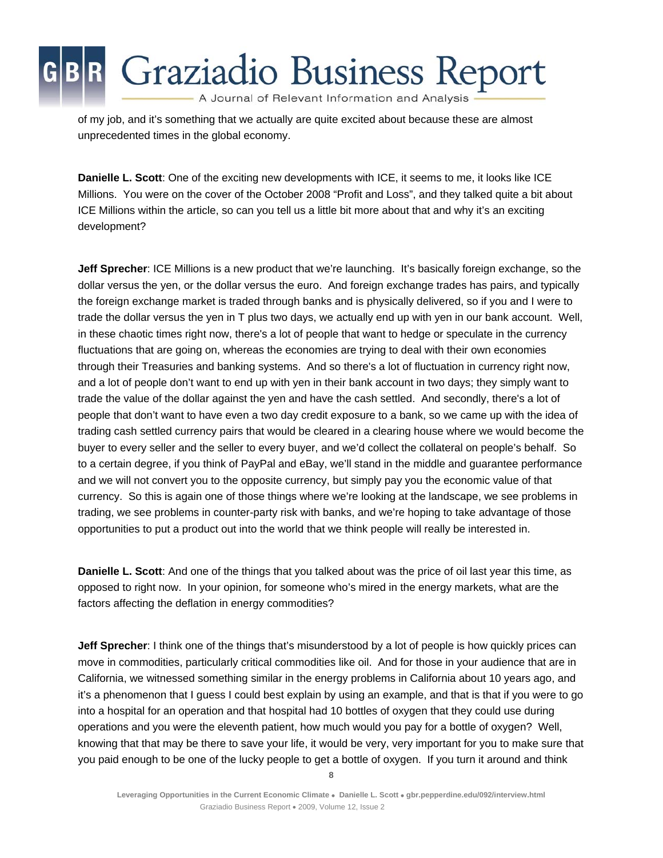A Journal of Relevant Information and Analysis

of my job, and it's something that we actually are quite excited about because these are almost unprecedented times in the global economy.

**Danielle L. Scott**: One of the exciting new developments with ICE, it seems to me, it looks like ICE Millions. You were on the cover of the October 2008 "Profit and Loss", and they talked quite a bit about ICE Millions within the article, so can you tell us a little bit more about that and why it's an exciting development?

**Jeff Sprecher**: ICE Millions is a new product that we're launching. It's basically foreign exchange, so the dollar versus the yen, or the dollar versus the euro. And foreign exchange trades has pairs, and typically the foreign exchange market is traded through banks and is physically delivered, so if you and I were to trade the dollar versus the yen in T plus two days, we actually end up with yen in our bank account. Well, in these chaotic times right now, there's a lot of people that want to hedge or speculate in the currency fluctuations that are going on, whereas the economies are trying to deal with their own economies through their Treasuries and banking systems. And so there's a lot of fluctuation in currency right now, and a lot of people don't want to end up with yen in their bank account in two days; they simply want to trade the value of the dollar against the yen and have the cash settled. And secondly, there's a lot of people that don't want to have even a two day credit exposure to a bank, so we came up with the idea of trading cash settled currency pairs that would be cleared in a clearing house where we would become the buyer to every seller and the seller to every buyer, and we'd collect the collateral on people's behalf. So to a certain degree, if you think of PayPal and eBay, we'll stand in the middle and guarantee performance and we will not convert you to the opposite currency, but simply pay you the economic value of that currency. So this is again one of those things where we're looking at the landscape, we see problems in trading, we see problems in counter-party risk with banks, and we're hoping to take advantage of those opportunities to put a product out into the world that we think people will really be interested in.

**Danielle L. Scott**: And one of the things that you talked about was the price of oil last year this time, as opposed to right now. In your opinion, for someone who's mired in the energy markets, what are the factors affecting the deflation in energy commodities?

**Jeff Sprecher**: I think one of the things that's misunderstood by a lot of people is how quickly prices can move in commodities, particularly critical commodities like oil. And for those in your audience that are in California, we witnessed something similar in the energy problems in California about 10 years ago, and it's a phenomenon that I guess I could best explain by using an example, and that is that if you were to go into a hospital for an operation and that hospital had 10 bottles of oxygen that they could use during operations and you were the eleventh patient, how much would you pay for a bottle of oxygen? Well, knowing that that may be there to save your life, it would be very, very important for you to make sure that you paid enough to be one of the lucky people to get a bottle of oxygen. If you turn it around and think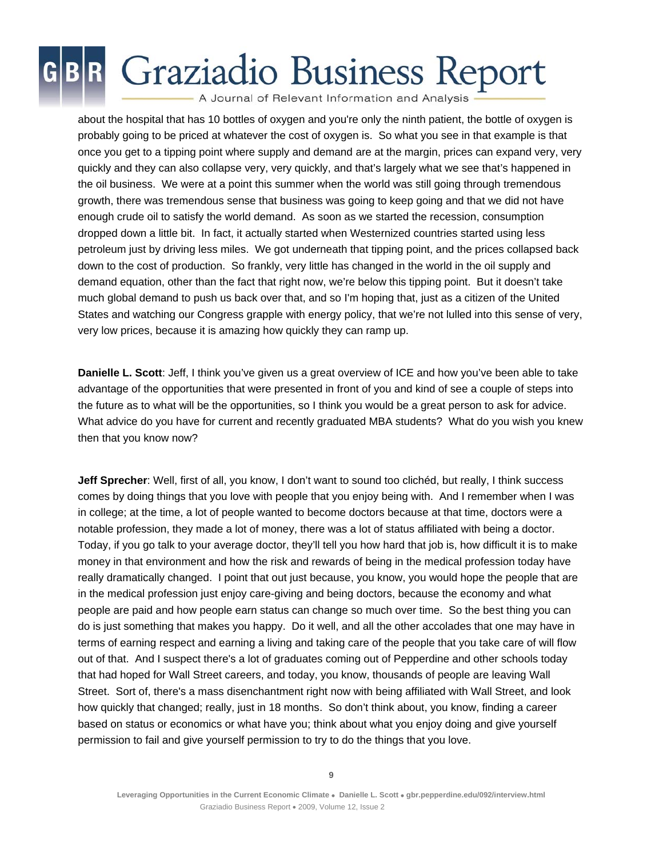A Journal of Relevant Information and Analysis

about the hospital that has 10 bottles of oxygen and you're only the ninth patient, the bottle of oxygen is probably going to be priced at whatever the cost of oxygen is. So what you see in that example is that once you get to a tipping point where supply and demand are at the margin, prices can expand very, very quickly and they can also collapse very, very quickly, and that's largely what we see that's happened in the oil business. We were at a point this summer when the world was still going through tremendous growth, there was tremendous sense that business was going to keep going and that we did not have enough crude oil to satisfy the world demand. As soon as we started the recession, consumption dropped down a little bit. In fact, it actually started when Westernized countries started using less petroleum just by driving less miles. We got underneath that tipping point, and the prices collapsed back down to the cost of production. So frankly, very little has changed in the world in the oil supply and demand equation, other than the fact that right now, we're below this tipping point. But it doesn't take much global demand to push us back over that, and so I'm hoping that, just as a citizen of the United States and watching our Congress grapple with energy policy, that we're not lulled into this sense of very, very low prices, because it is amazing how quickly they can ramp up.

**Danielle L. Scott**: Jeff, I think you've given us a great overview of ICE and how you've been able to take advantage of the opportunities that were presented in front of you and kind of see a couple of steps into the future as to what will be the opportunities, so I think you would be a great person to ask for advice. What advice do you have for current and recently graduated MBA students? What do you wish you knew then that you know now?

**Jeff Sprecher**: Well, first of all, you know, I don't want to sound too clichéd, but really, I think success comes by doing things that you love with people that you enjoy being with. And I remember when I was in college; at the time, a lot of people wanted to become doctors because at that time, doctors were a notable profession, they made a lot of money, there was a lot of status affiliated with being a doctor. Today, if you go talk to your average doctor, they'll tell you how hard that job is, how difficult it is to make money in that environment and how the risk and rewards of being in the medical profession today have really dramatically changed. I point that out just because, you know, you would hope the people that are in the medical profession just enjoy care-giving and being doctors, because the economy and what people are paid and how people earn status can change so much over time. So the best thing you can do is just something that makes you happy. Do it well, and all the other accolades that one may have in terms of earning respect and earning a living and taking care of the people that you take care of will flow out of that. And I suspect there's a lot of graduates coming out of Pepperdine and other schools today that had hoped for Wall Street careers, and today, you know, thousands of people are leaving Wall Street. Sort of, there's a mass disenchantment right now with being affiliated with Wall Street, and look how quickly that changed; really, just in 18 months. So don't think about, you know, finding a career based on status or economics or what have you; think about what you enjoy doing and give yourself permission to fail and give yourself permission to try to do the things that you love.